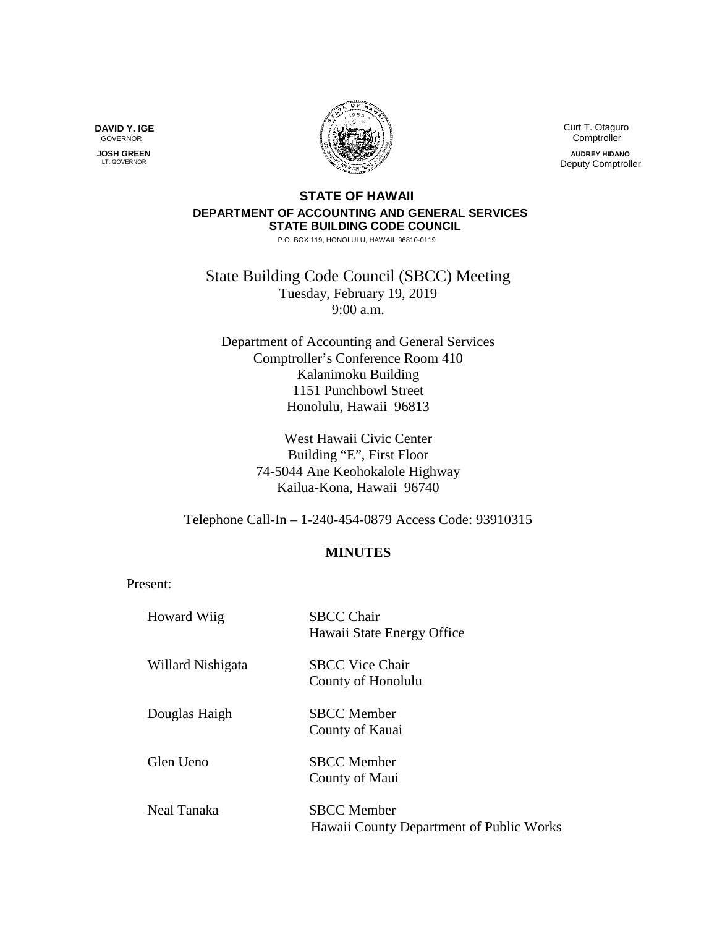

 Curt T. Otaguro Comptroller **AUDREY HIDANO** Deputy Comptroller

## **STATE OF HAWAII DEPARTMENT OF ACCOUNTING AND GENERAL SERVICES STATE BUILDING CODE COUNCIL**

P.O. BOX 119, HONOLULU, HAWAII 96810-0119

State Building Code Council (SBCC) Meeting Tuesday, February 19, 2019 9:00 a.m.

Department of Accounting and General Services Comptroller's Conference Room 410 Kalanimoku Building 1151 Punchbowl Street Honolulu, Hawaii 96813

> West Hawaii Civic Center Building "E", First Floor 74-5044 Ane Keohokalole Highway Kailua-Kona, Hawaii 96740

Telephone Call-In – 1-240-454-0879 Access Code: 93910315

## **MINUTES**

Present:

| <b>Howard Wiig</b> | <b>SBCC Chair</b><br>Hawaii State Energy Office                |
|--------------------|----------------------------------------------------------------|
| Willard Nishigata  | <b>SBCC Vice Chair</b><br>County of Honolulu                   |
| Douglas Haigh      | <b>SBCC</b> Member<br>County of Kauai                          |
| Glen Ueno          | <b>SBCC</b> Member<br>County of Maui                           |
| Neal Tanaka        | <b>SBCC</b> Member<br>Hawaii County Department of Public Works |

**DAVID Y. IGE** GOVERNOR

 **JOSH GREEN** LT. GOVERNOR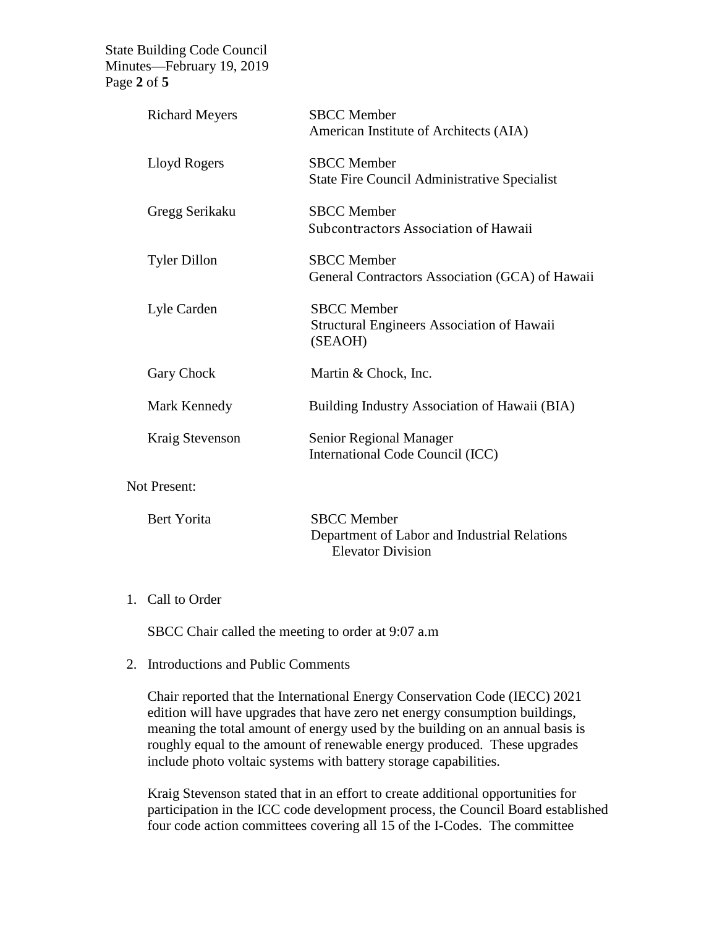State Building Code Council Minutes—February 19, 2019 Page **2** of **5**

| <b>Richard Meyers</b> | <b>SBCC</b> Member<br>American Institute of Architects (AIA)                       |
|-----------------------|------------------------------------------------------------------------------------|
| Lloyd Rogers          | <b>SBCC</b> Member<br><b>State Fire Council Administrative Specialist</b>          |
| Gregg Serikaku        | <b>SBCC</b> Member<br>Subcontractors Association of Hawaii                         |
| <b>Tyler Dillon</b>   | <b>SBCC</b> Member<br>General Contractors Association (GCA) of Hawaii              |
| Lyle Carden           | <b>SBCC</b> Member<br><b>Structural Engineers Association of Hawaii</b><br>(SEAOH) |
| Gary Chock            | Martin & Chock, Inc.                                                               |
| Mark Kennedy          | Building Industry Association of Hawaii (BIA)                                      |
| Kraig Stevenson       | Senior Regional Manager<br>International Code Council (ICC)                        |
| <b>Not Present:</b>   |                                                                                    |

| Bert Yorita | <b>SBCC</b> Member                           |
|-------------|----------------------------------------------|
|             | Department of Labor and Industrial Relations |
|             | Elevator Division                            |

## 1. Call to Order

SBCC Chair called the meeting to order at 9:07 a.m

## 2. Introductions and Public Comments

Chair reported that the International Energy Conservation Code (IECC) 2021 edition will have upgrades that have zero net energy consumption buildings, meaning the total amount of energy used by the building on an annual basis is roughly equal to the amount of renewable energy produced. These upgrades include photo voltaic systems with battery storage capabilities.

Kraig Stevenson stated that in an effort to create additional opportunities for participation in the ICC code development process, the Council Board established four code action committees covering all 15 of the I-Codes. The committee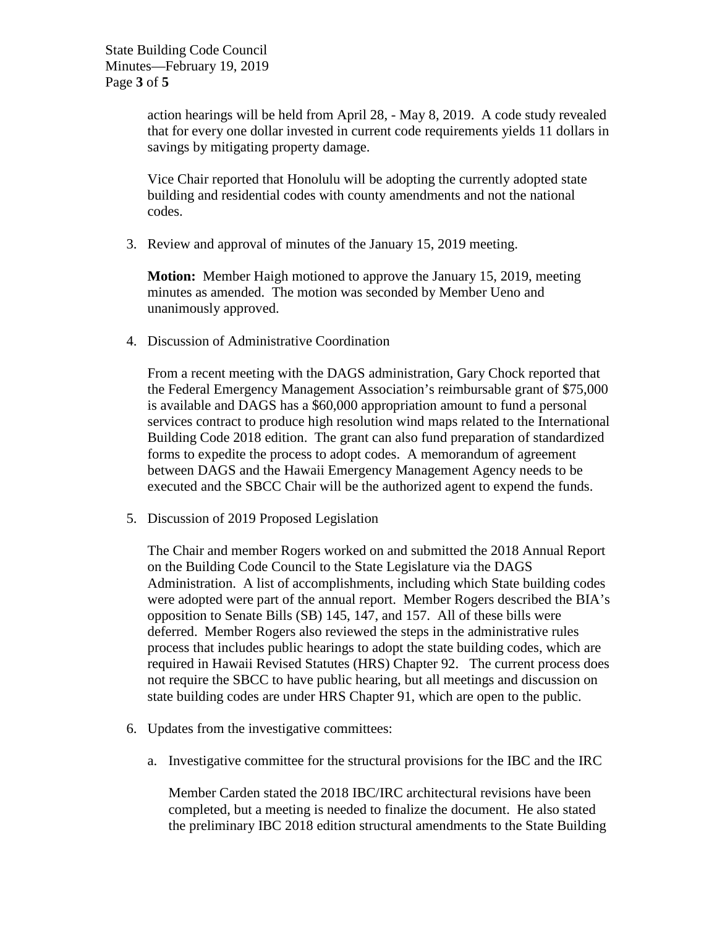action hearings will be held from April 28, - May 8, 2019. A code study revealed that for every one dollar invested in current code requirements yields 11 dollars in savings by mitigating property damage.

Vice Chair reported that Honolulu will be adopting the currently adopted state building and residential codes with county amendments and not the national codes.

3. Review and approval of minutes of the January 15, 2019 meeting.

**Motion:** Member Haigh motioned to approve the January 15, 2019, meeting minutes as amended. The motion was seconded by Member Ueno and unanimously approved.

4. Discussion of Administrative Coordination

From a recent meeting with the DAGS administration, Gary Chock reported that the Federal Emergency Management Association's reimbursable grant of \$75,000 is available and DAGS has a \$60,000 appropriation amount to fund a personal services contract to produce high resolution wind maps related to the International Building Code 2018 edition. The grant can also fund preparation of standardized forms to expedite the process to adopt codes. A memorandum of agreement between DAGS and the Hawaii Emergency Management Agency needs to be executed and the SBCC Chair will be the authorized agent to expend the funds.

5. Discussion of 2019 Proposed Legislation

The Chair and member Rogers worked on and submitted the 2018 Annual Report on the Building Code Council to the State Legislature via the DAGS Administration. A list of accomplishments, including which State building codes were adopted were part of the annual report. Member Rogers described the BIA's opposition to Senate Bills (SB) 145, 147, and 157. All of these bills were deferred. Member Rogers also reviewed the steps in the administrative rules process that includes public hearings to adopt the state building codes, which are required in Hawaii Revised Statutes (HRS) Chapter 92. The current process does not require the SBCC to have public hearing, but all meetings and discussion on state building codes are under HRS Chapter 91, which are open to the public.

- 6. Updates from the investigative committees:
	- a. Investigative committee for the structural provisions for the IBC and the IRC

Member Carden stated the 2018 IBC/IRC architectural revisions have been completed, but a meeting is needed to finalize the document. He also stated the preliminary IBC 2018 edition structural amendments to the State Building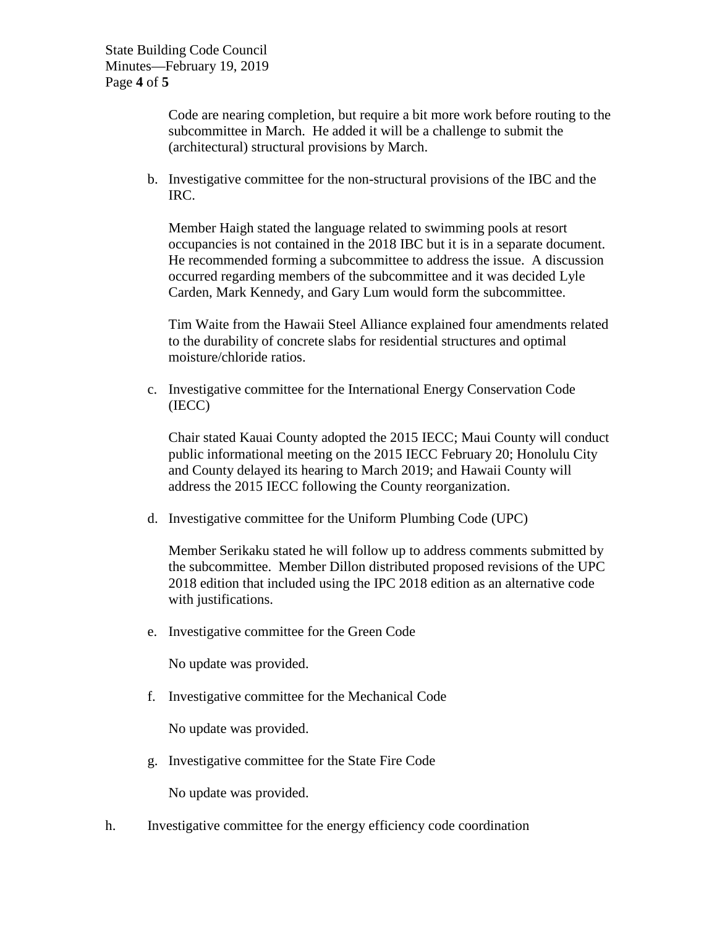Code are nearing completion, but require a bit more work before routing to the subcommittee in March. He added it will be a challenge to submit the (architectural) structural provisions by March.

b. Investigative committee for the non-structural provisions of the IBC and the IRC.

Member Haigh stated the language related to swimming pools at resort occupancies is not contained in the 2018 IBC but it is in a separate document. He recommended forming a subcommittee to address the issue. A discussion occurred regarding members of the subcommittee and it was decided Lyle Carden, Mark Kennedy, and Gary Lum would form the subcommittee.

Tim Waite from the Hawaii Steel Alliance explained four amendments related to the durability of concrete slabs for residential structures and optimal moisture/chloride ratios.

c. Investigative committee for the International Energy Conservation Code (IECC)

Chair stated Kauai County adopted the 2015 IECC; Maui County will conduct public informational meeting on the 2015 IECC February 20; Honolulu City and County delayed its hearing to March 2019; and Hawaii County will address the 2015 IECC following the County reorganization.

d. Investigative committee for the Uniform Plumbing Code (UPC)

Member Serikaku stated he will follow up to address comments submitted by the subcommittee. Member Dillon distributed proposed revisions of the UPC 2018 edition that included using the IPC 2018 edition as an alternative code with justifications.

e. Investigative committee for the Green Code

No update was provided.

f. Investigative committee for the Mechanical Code

No update was provided.

g. Investigative committee for the State Fire Code

No update was provided.

h. Investigative committee for the energy efficiency code coordination